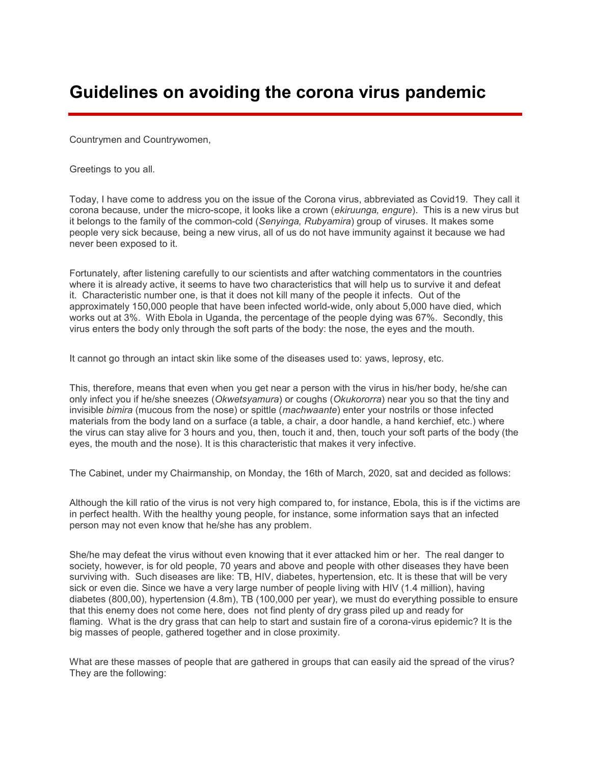## Guidelines on avoiding the corona virus pandemic

Countrymen and Countrywomen,

Greetings to you all.

Today, I have come to address you on the issue of the Corona virus, abbreviated as Covid19. They call it corona because, under the micro-scope, it looks like a crown (ekiruunga, engure). This is a new virus but it belongs to the family of the common-cold (Senyinga, Rubyamira) group of viruses. It makes some people very sick because, being a new virus, all of us do not have immunity against it because we had never been exposed to it.

Fortunately, after listening carefully to our scientists and after watching commentators in the countries where it is already active, it seems to have two characteristics that will help us to survive it and defeat it. Characteristic number one, is that it does not kill many of the people it infects. Out of the approximately 150,000 people that have been infected world-wide, only about 5,000 have died, which works out at 3%. With Ebola in Uganda, the percentage of the people dying was 67%. Secondly, this virus enters the body only through the soft parts of the body: the nose, the eyes and the mouth.

It cannot go through an intact skin like some of the diseases used to: yaws, leprosy, etc.

This, therefore, means that even when you get near a person with the virus in his/her body, he/she can only infect you if he/she sneezes (Okwetsyamura) or coughs (Okukororra) near you so that the tiny and invisible *bimira* (mucous from the nose) or spittle (*machwaante*) enter your nostrils or those infected materials from the body land on a surface (a table, a chair, a door handle, a hand kerchief, etc.) where the virus can stay alive for 3 hours and you, then, touch it and, then, touch your soft parts of the body (the eyes, the mouth and the nose). It is this characteristic that makes it very infective.

The Cabinet, under my Chairmanship, on Monday, the 16th of March, 2020, sat and decided as follows:

Although the kill ratio of the virus is not very high compared to, for instance, Ebola, this is if the victims are in perfect health. With the healthy young people, for instance, some information says that an infected person may not even know that he/she has any problem.

She/he may defeat the virus without even knowing that it ever attacked him or her. The real danger to society, however, is for old people, 70 years and above and people with other diseases they have been surviving with. Such diseases are like: TB, HIV, diabetes, hypertension, etc. It is these that will be very sick or even die. Since we have a very large number of people living with HIV (1.4 million), having diabetes (800,00), hypertension (4.8m), TB (100,000 per year), we must do everything possible to ensure that this enemy does not come here, does not find plenty of dry grass piled up and ready for flaming. What is the dry grass that can help to start and sustain fire of a corona-virus epidemic? It is the big masses of people, gathered together and in close proximity.

What are these masses of people that are gathered in groups that can easily aid the spread of the virus? They are the following: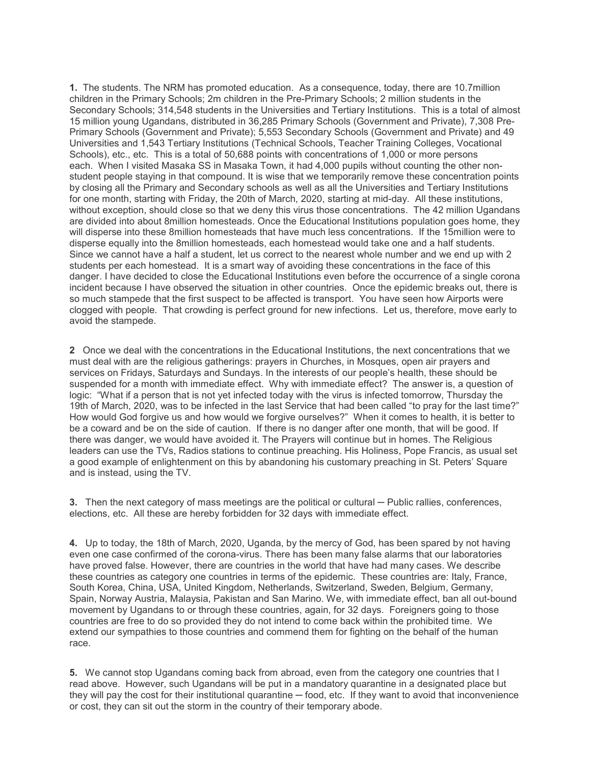1. The students. The NRM has promoted education. As a consequence, today, there are 10.7million children in the Primary Schools; 2m children in the Pre-Primary Schools; 2 million students in the Secondary Schools; 314,548 students in the Universities and Tertiary Institutions. This is a total of almost 15 million young Ugandans, distributed in 36,285 Primary Schools (Government and Private), 7,308 Pre-Primary Schools (Government and Private); 5,553 Secondary Schools (Government and Private) and 49 Universities and 1,543 Tertiary Institutions (Technical Schools, Teacher Training Colleges, Vocational Schools), etc., etc. This is a total of 50,688 points with concentrations of 1,000 or more persons each. When I visited Masaka SS in Masaka Town, it had 4,000 pupils without counting the other nonstudent people staying in that compound. It is wise that we temporarily remove these concentration points by closing all the Primary and Secondary schools as well as all the Universities and Tertiary Institutions for one month, starting with Friday, the 20th of March, 2020, starting at mid-day. All these institutions, without exception, should close so that we deny this virus those concentrations. The 42 million Ugandans are divided into about 8million homesteads. Once the Educational Institutions population goes home, they will disperse into these 8million homesteads that have much less concentrations. If the 15million were to disperse equally into the 8million homesteads, each homestead would take one and a half students. Since we cannot have a half a student, let us correct to the nearest whole number and we end up with 2 students per each homestead. It is a smart way of avoiding these concentrations in the face of this danger. I have decided to close the Educational Institutions even before the occurrence of a single corona incident because I have observed the situation in other countries. Once the epidemic breaks out, there is so much stampede that the first suspect to be affected is transport. You have seen how Airports were clogged with people. That crowding is perfect ground for new infections. Let us, therefore, move early to avoid the stampede.

2 Once we deal with the concentrations in the Educational Institutions, the next concentrations that we must deal with are the religious gatherings: prayers in Churches, in Mosques, open air prayers and services on Fridays, Saturdays and Sundays. In the interests of our people's health, these should be suspended for a month with immediate effect. Why with immediate effect? The answer is, a question of logic: "What if a person that is not yet infected today with the virus is infected tomorrow, Thursday the 19th of March, 2020, was to be infected in the last Service that had been called "to pray for the last time?" How would God forgive us and how would we forgive ourselves?" When it comes to health, it is better to be a coward and be on the side of caution. If there is no danger after one month, that will be good. If there was danger, we would have avoided it. The Prayers will continue but in homes. The Religious leaders can use the TVs, Radios stations to continue preaching. His Holiness, Pope Francis, as usual set a good example of enlightenment on this by abandoning his customary preaching in St. Peters' Square and is instead, using the TV.

3. Then the next category of mass meetings are the political or cultural — Public rallies, conferences, elections, etc. All these are hereby forbidden for 32 days with immediate effect.

4. Up to today, the 18th of March, 2020, Uganda, by the mercy of God, has been spared by not having even one case confirmed of the corona-virus. There has been many false alarms that our laboratories have proved false. However, there are countries in the world that have had many cases. We describe these countries as category one countries in terms of the epidemic. These countries are: Italy, France, South Korea, China, USA, United Kingdom, Netherlands, Switzerland, Sweden, Belgium, Germany, Spain, Norway Austria, Malaysia, Pakistan and San Marino. We, with immediate effect, ban all out-bound movement by Ugandans to or through these countries, again, for 32 days. Foreigners going to those countries are free to do so provided they do not intend to come back within the prohibited time. We extend our sympathies to those countries and commend them for fighting on the behalf of the human race.

5. We cannot stop Ugandans coming back from abroad, even from the category one countries that I read above. However, such Ugandans will be put in a mandatory quarantine in a designated place but they will pay the cost for their institutional quarantine — food, etc. If they want to avoid that inconvenience or cost, they can sit out the storm in the country of their temporary abode.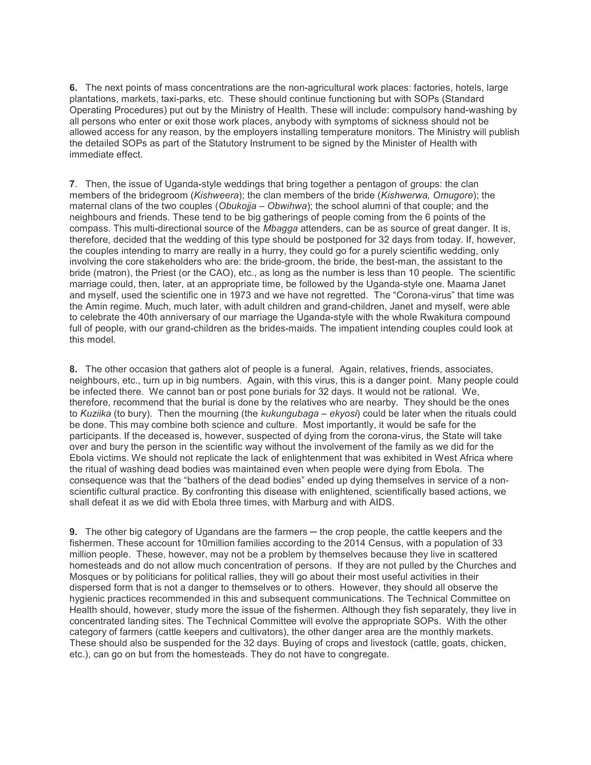6. The next points of mass concentrations are the non-agricultural work places: factories, hotels, large plantations, markets, taxi-parks, etc. These should continue functioning but with SOPs (Standard Operating Procedures) put out by the Ministry of Health. These will include: compulsory hand-washing by all persons who enter or exit those work places, anybody with symptoms of sickness should not be allowed access for any reason, by the employers installing temperature monitors. The Ministry will publish the detailed SOPs as part of the Statutory Instrument to be signed by the Minister of Health with immediate effect.

7. Then, the issue of Uganda-style weddings that bring together a pentagon of groups: the clan members of the bridegroom (Kishweera); the clan members of the bride (Kishwerwa, Omugore); the maternal clans of the two couples (*Obukojja – Obwihwa*); the school alumni of that couple; and the neighbours and friends. These tend to be big gatherings of people coming from the 6 points of the compass. This multi-directional source of the Mbagga attenders, can be as source of great danger. It is, therefore, decided that the wedding of this type should be postponed for 32 days from today. If, however, the couples intending to marry are really in a hurry, they could go for a purely scientific wedding, only involving the core stakeholders who are: the bride-groom, the bride, the best-man, the assistant to the bride (matron), the Priest (or the CAO), etc., as long as the number is less than 10 people. The scientific marriage could, then, later, at an appropriate time, be followed by the Uganda-style one. Maama Janet and myself, used the scientific one in 1973 and we have not regretted. The "Corona-virus" that time was the Amin regime. Much, much later, with adult children and grand-children, Janet and myself, were able to celebrate the 40th anniversary of our marriage the Uganda-style with the whole Rwakitura compound full of people, with our grand-children as the brides-maids. The impatient intending couples could look at this model.

8. The other occasion that gathers alot of people is a funeral. Again, relatives, friends, associates, neighbours, etc., turn up in big numbers. Again, with this virus, this is a danger point. Many people could be infected there. We cannot ban or post pone burials for 32 days. It would not be rational. We, therefore, recommend that the burial is done by the relatives who are nearby. They should be the ones to Kuziika (to bury). Then the mourning (the kukungubaga - ekyosi) could be later when the rituals could be done. This may combine both science and culture. Most importantly, it would be safe for the participants. If the deceased is, however, suspected of dying from the corona-virus, the State will take over and bury the person in the scientific way without the involvement of the family as we did for the Ebola victims. We should not replicate the lack of enlightenment that was exhibited in West Africa where the ritual of washing dead bodies was maintained even when people were dying from Ebola. The consequence was that the "bathers of the dead bodies" ended up dying themselves in service of a nonscientific cultural practice. By confronting this disease with enlightened, scientifically based actions, we shall defeat it as we did with Ebola three times, with Marburg and with AIDS.

9. The other big category of Ugandans are the farmers — the crop people, the cattle keepers and the fishermen. These account for 10million families according to the 2014 Census, with a population of 33 million people. These, however, may not be a problem by themselves because they live in scattered homesteads and do not allow much concentration of persons. If they are not pulled by the Churches and Mosques or by politicians for political rallies, they will go about their most useful activities in their dispersed form that is not a danger to themselves or to others. However, they should all observe the hygienic practices recommended in this and subsequent communications. The Technical Committee on Health should, however, study more the issue of the fishermen. Although they fish separately, they live in concentrated landing sites. The Technical Committee will evolve the appropriate SOPs. With the other category of farmers (cattle keepers and cultivators), the other danger area are the monthly markets. These should also be suspended for the 32 days. Buying of crops and livestock (cattle, goats, chicken, etc.), can go on but from the homesteads. They do not have to congregate.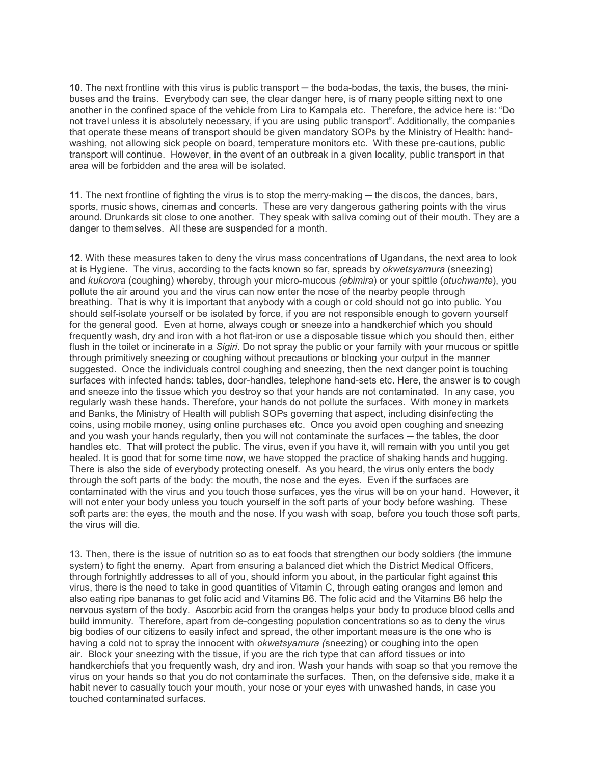10. The next frontline with this virus is public transport — the boda-bodas, the taxis, the buses, the minibuses and the trains. Everybody can see, the clear danger here, is of many people sitting next to one another in the confined space of the vehicle from Lira to Kampala etc. Therefore, the advice here is: "Do not travel unless it is absolutely necessary, if you are using public transport". Additionally, the companies that operate these means of transport should be given mandatory SOPs by the Ministry of Health: handwashing, not allowing sick people on board, temperature monitors etc. With these pre-cautions, public transport will continue. However, in the event of an outbreak in a given locality, public transport in that area will be forbidden and the area will be isolated.

11. The next frontline of fighting the virus is to stop the merry-making — the discos, the dances, bars, sports, music shows, cinemas and concerts. These are very dangerous gathering points with the virus around. Drunkards sit close to one another. They speak with saliva coming out of their mouth. They are a danger to themselves. All these are suspended for a month.

12. With these measures taken to deny the virus mass concentrations of Ugandans, the next area to look at is Hygiene. The virus, according to the facts known so far, spreads by okwetsyamura (sneezing) and kukorora (coughing) whereby, through your micro-mucous *(ebimira)* or your spittle *(otuchwante)*, you pollute the air around you and the virus can now enter the nose of the nearby people through breathing. That is why it is important that anybody with a cough or cold should not go into public. You should self-isolate yourself or be isolated by force, if you are not responsible enough to govern yourself for the general good. Even at home, always cough or sneeze into a handkerchief which you should frequently wash, dry and iron with a hot flat-iron or use a disposable tissue which you should then, either flush in the toilet or incinerate in a Sigiri. Do not spray the public or your family with your mucous or spittle through primitively sneezing or coughing without precautions or blocking your output in the manner suggested. Once the individuals control coughing and sneezing, then the next danger point is touching surfaces with infected hands: tables, door-handles, telephone hand-sets etc. Here, the answer is to cough and sneeze into the tissue which you destroy so that your hands are not contaminated. In any case, you regularly wash these hands. Therefore, your hands do not pollute the surfaces. With money in markets and Banks, the Ministry of Health will publish SOPs governing that aspect, including disinfecting the coins, using mobile money, using online purchases etc. Once you avoid open coughing and sneezing and you wash your hands regularly, then you will not contaminate the surfaces — the tables, the door handles etc. That will protect the public. The virus, even if you have it, will remain with you until you get healed. It is good that for some time now, we have stopped the practice of shaking hands and hugging. There is also the side of everybody protecting oneself. As you heard, the virus only enters the body through the soft parts of the body: the mouth, the nose and the eyes. Even if the surfaces are contaminated with the virus and you touch those surfaces, yes the virus will be on your hand. However, it will not enter your body unless you touch yourself in the soft parts of your body before washing. These soft parts are: the eyes, the mouth and the nose. If you wash with soap, before you touch those soft parts, the virus will die.

13. Then, there is the issue of nutrition so as to eat foods that strengthen our body soldiers (the immune system) to fight the enemy. Apart from ensuring a balanced diet which the District Medical Officers, through fortnightly addresses to all of you, should inform you about, in the particular fight against this virus, there is the need to take in good quantities of Vitamin C, through eating oranges and lemon and also eating ripe bananas to get folic acid and Vitamins B6. The folic acid and the Vitamins B6 help the nervous system of the body. Ascorbic acid from the oranges helps your body to produce blood cells and build immunity. Therefore, apart from de-congesting population concentrations so as to deny the virus big bodies of our citizens to easily infect and spread, the other important measure is the one who is having a cold not to spray the innocent with *okwetsyamura* (sneezing) or coughing into the open air. Block your sneezing with the tissue, if you are the rich type that can afford tissues or into handkerchiefs that you frequently wash, dry and iron. Wash your hands with soap so that you remove the virus on your hands so that you do not contaminate the surfaces. Then, on the defensive side, make it a habit never to casually touch your mouth, your nose or your eyes with unwashed hands, in case you touched contaminated surfaces.